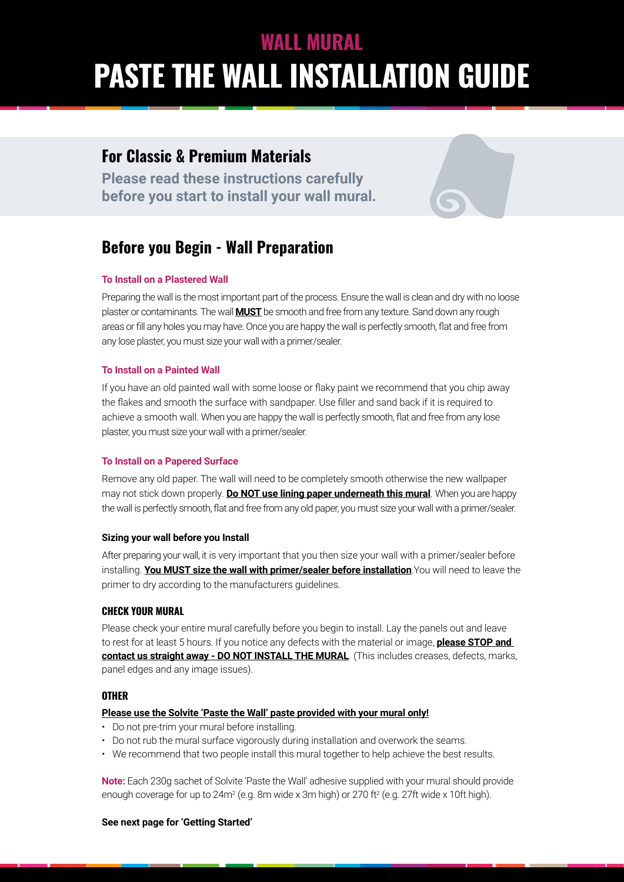# **PASTE THE WALL INSTALLATION GUIDE WALL MURAL**

# **For Classic & Premium Materials**

**Please read these instructions carefully before you start to install your wall mural.**



## **To Install on a Plastered Wall**

Preparing the wall is the most important part of the process. Ensure the wall is clean and dry with no loose plaster or contaminants. The wall **MUST** be smooth and free from any texture. Sand down any rough areas or fill any holes you may have. Once you are happy the wall is perfectly smooth, flat and free from any lose plaster, you must size your wall with a primer/sealer.

#### **To Install on a Painted Wall**

If you have an old painted wall with some loose or flaky paint we recommend that you chip away the flakes and smooth the surface with sandpaper. Use filler and sand back if it is required to achieve a smooth wall. When you are happy the wall is perfectly smooth, flat and free from any lose plaster, you must size your wall with a primer/sealer.

#### **To Install on a Papered Surface**

Remove any old paper. The wall will need to be completely smooth otherwise the new wallpaper may not stick down properly. **Do NOT use lining paper underneath this mural**. When you are happy the wall is perfectly smooth, flat and free from any old paper, you must size your wall with a primer/sealer.

## **Sizing your wall before you Install**

After preparing your wall, it is very important that you then size your wall with a primer/sealer before installing. **You MUST size the wall with primer/sealer before installation**.You will need to leave the primer to dry according to the manufacturers guidelines.

## **CHECK YOUR MURAL**

Please check your entire mural carefully before you begin to install. Lay the panels out and leave to rest for at least 5 hours. If you notice any defects with the material or image, **please STOP and contact us straight away - DO NOT INSTALL THE MURAL**. (This includes creases, defects, marks, panel edges and any image issues).

## **OTHER**

#### **Please use the Solvite 'Paste the Wall' paste provided with your mural only!**

- Do not pre-trim your mural before installing.
- Do not rub the mural surface vigorously during installation and overwork the seams.
- We recommend that two people install this mural together to help achieve the best results.

**Note:** Each 230g sachet of Solvite 'Paste the Wall' adhesive supplied with your mural should provide enough coverage for up to 24m² (e.g. 8m wide x 3m high) or 270 ft² (e.g. 27ft wide x 10ft high).

#### **See next page for 'Getting Started'**